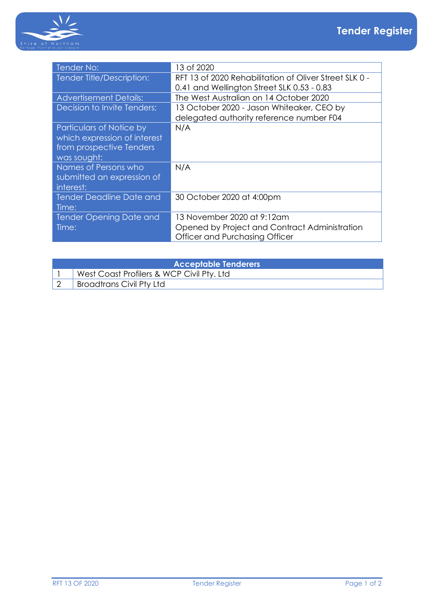

| Tender No:                      | 13 of 2020                                             |
|---------------------------------|--------------------------------------------------------|
| Tender Title/Description:       | RFT 13 of 2020 Rehabilitation of Oliver Street SLK 0 - |
|                                 | 0.41 and Wellington Street SLK 0.53 - 0.83             |
| <b>Advertisement Details:</b>   | The West Australian on 14 October 2020                 |
| Decision to Invite Tenders:     | 13 October 2020 - Jason Whiteaker, CEO by              |
|                                 | delegated authority reference number F04               |
| Particulars of Notice by        | N/A                                                    |
| which expression of interest    |                                                        |
| from prospective Tenders        |                                                        |
| was sought:                     |                                                        |
| Names of Persons who            | N/A                                                    |
| submitted an expression of      |                                                        |
| interest:                       |                                                        |
| <b>Tender Deadline Date and</b> | 30 October 2020 at 4:00pm                              |
| Time:                           |                                                        |
| <b>Tender Opening Date and</b>  | 13 November 2020 at 9:12am                             |
| Time:                           | Opened by Project and Contract Administration          |
|                                 | Officer and Purchasing Officer                         |

| <b>Acceptable Tenderers</b> |                                           |  |
|-----------------------------|-------------------------------------------|--|
|                             | West Coast Profilers & WCP Civil Pty. Ltd |  |
|                             | <b>Broadtrans Civil Pty Ltd</b>           |  |